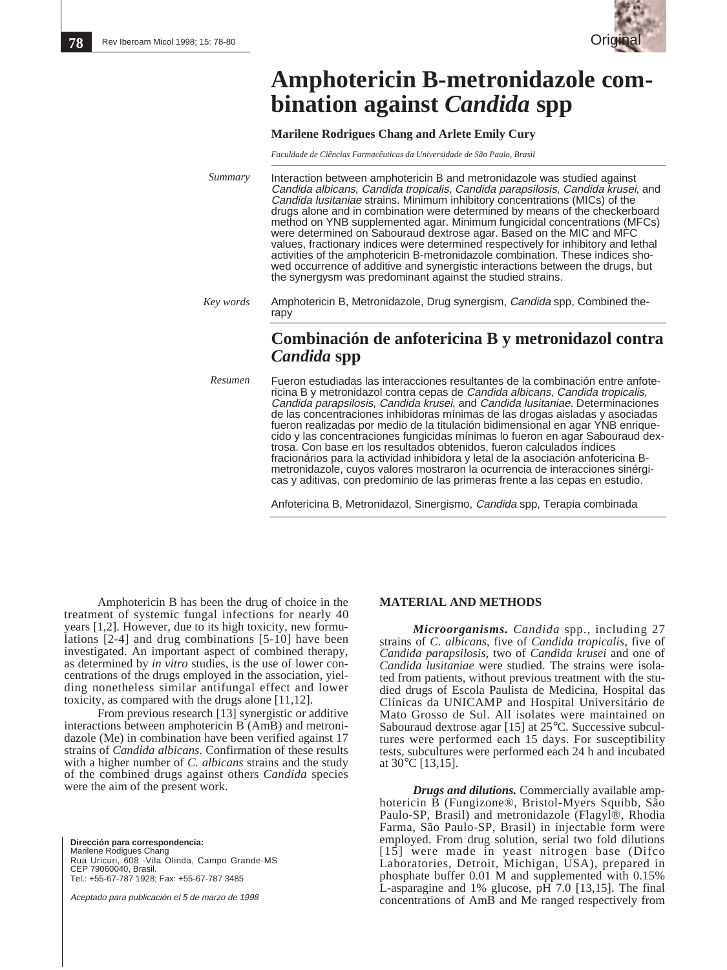

# **Amphotericin B-metronidazole combination against** *Candida* **spp**

**Marilene Rodrigues Chang and Arlete Emily Cury**

*Faculdade de Ciências Farmacêuticas da Universidade de São Paulo, Brasil*

Interaction between amphotericin B and metronidazole was studied against Candida albicans, Candida tropicalis, Candida parapsilosis, Candida krusei, and Candida lusitaniae strains. Minimum inhibitory concentrations (MICs) of the drugs alone and in combination were determined by means of the checkerboard method on YNB supplemented agar. Minimum fungicidal concentrations (MFCs) were determined on Sabouraud dextrose agar. Based on the MIC and MFC values, fractionary indices were determined respectively for inhibitory and lethal activities of the amphotericin B-metronidazole combination. These indices showed occurrence of additive and synergistic interactions between the drugs, but the synergysm was predominant against the studied strains. *Summary*

Amphotericin B, Metronidazole, Drug synergism, Candida spp, Combined therapy *Key words*

# **Combinación de anfotericina B y metronidazol contra** *Candida* **spp**

*Resumen*

Fueron estudiadas las interacciones resultantes de la combinación entre anfotericina B y metronidazol contra cepas de Candida albicans, Candida tropicalis, Candida parapsilosis, Candida krusei, and Candida lusitaniae. Determinaciones de las concentraciones inhibidoras mínimas de las drogas aisladas y asociadas fueron realizadas por medio de la titulación bidimensional en agar YNB enriquecido y las concentraciones fungicidas mínimas lo fueron en agar Sabouraud dextrosa. Con base en los resultados obtenidos, fueron calculados índices fracionários para la actividad inhibidora y letal de la asociación anfotericina Bmetronidazole, cuyos valores mostraron la ocurrencia de interacciones sinérgicas y aditivas, con predominio de las primeras frente a las cepas en estudio.

Anfotericina B, Metronidazol, Sinergismo, Candida spp, Terapia combinada

Amphotericin B has been the drug of choice in the treatment of systemic fungal infections for nearly 40 years [1,2]. However, due to its high toxicity, new formulations [2-4] and drug combinations [5-10] have been investigated. An important aspect of combined therapy, as determined by *in vitro* studies, is the use of lower concentrations of the drugs employed in the association, yielding nonetheless similar antifungal effect and lower toxicity, as compared with the drugs alone [11,12].

From previous research [13] synergistic or additive interactions between amphotericin B (AmB) and metronidazole (Me) in combination have been verified against 17 strains of *Candida albicans*. Confirmation of these results with a higher number of *C. albicans* strains and the study of the combined drugs against others *Candida* species were the aim of the present work.

**Dirección para correspondencia:** Marilene Rodigues Chang Rua Uricuri, 608 -Vila Olinda, Campo Grande-MS CEP 79060040, Brasil. Tel.: +55-67-787 1928; Fax: +55-67-787 3485

Aceptado para publicación el 5 de marzo de 1998

## **MATERIAL AND METHODS**

*Microorganisms. Candida* spp., including 27 strains of *C. albicans*, five of *Candida tropicalis*, five of *Candida parapsilosis*, two of *Candida krusei* and one of *Candida lusitaniae* were studied. The strains were isolated from patients, without previous treatment with the studied drugs of Escola Paulista de Medicina, Hospital das Clínicas da UNICAMP and Hospital Universitário de Mato Grosso de Sul. All isolates were maintained on Sabouraud dextrose agar [15] at 25°C. Successive subcultures were performed each 15 days. For susceptibility tests, subcultures were performed each 24 h and incubated at 30°C [13,15].

*Drugs and dilutions.* Commercially available amphotericin B (Fungizone®, Bristol-Myers Squibb, São Paulo-SP, Brasil) and metronidazole (Flagyl®, Rhodia Farma, São Paulo-SP, Brasil) in injectable form were employed. From drug solution, serial two fold dilutions [15] were made in yeast nitrogen base (Difco Laboratories, Detroit, Michigan, USA), prepared in phosphate buffer 0.01 M and supplemented with 0.15% L-asparagine and 1% glucose, pH 7.0 [13,15]. The final concentrations of AmB and Me ranged respectively from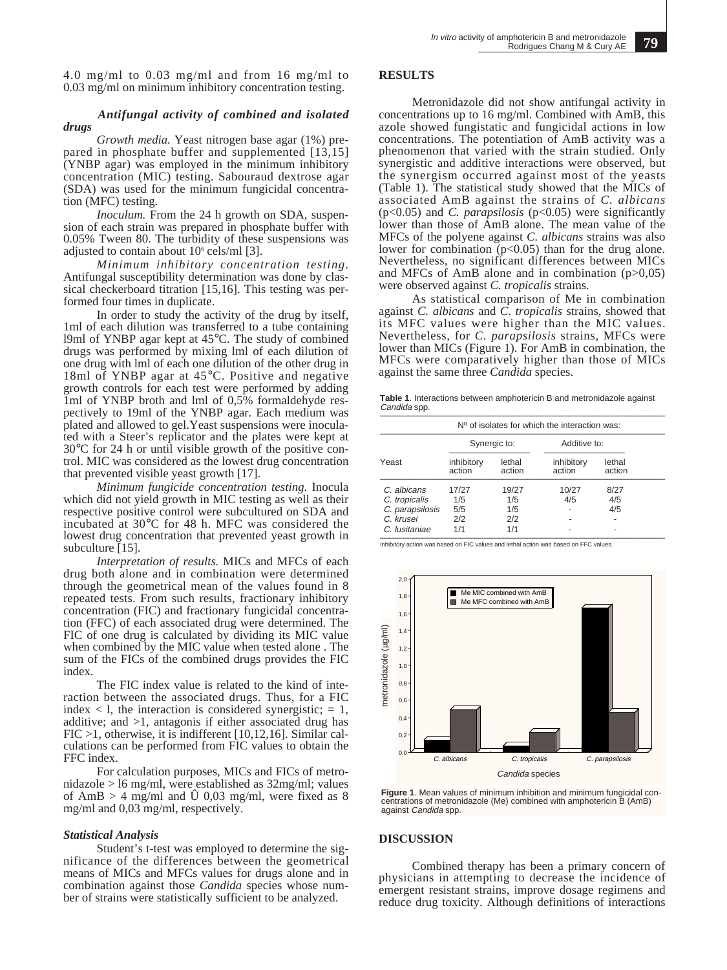4.0 mg/ml to 0.03 mg/ml and from 16 mg/ml to 0.03 mg/ml on minimum inhibitory concentration testing.

#### *Antifungal activity of combined and isolated drugs*

*Growth media.* Yeast nitrogen base agar (1%) prepared in phosphate buffer and supplemented [13,15] (YNBP agar) was employed in the minimum inhibitory concentration (MIC) testing. Sabouraud dextrose agar (SDA) was used for the minimum fungicidal concentration (MFC) testing.

*Inoculum.* From the 24 h growth on SDA, suspension of each strain was prepared in phosphate buffer with 0.05% Tween 80. The turbidity of these suspensions was adjusted to contain about  $10^{\circ}$  cels/ml [3].

*Minimum inhibitory concentration testing.* Antifungal susceptibility determination was done by classical checkerboard titration [15,16]. This testing was performed four times in duplicate.

In order to study the activity of the drug by itself, 1ml of each dilution was transferred to a tube containing l9ml of YNBP agar kept at 45°C. The study of combined drugs was performed by mixing lml of each dilution of one drug with lml of each one dilution of the other drug in 18ml of YNBP agar at 45°C. Positive and negative growth controls for each test were performed by adding 1ml of YNBP broth and lml of 0,5% formaldehyde respectively to 19ml of the YNBP agar. Each medium was plated and allowed to gel.Yeast suspensions were inoculated with a Steer's replicator and the plates were kept at 30°C for 24 h or until visible growth of the positive control. MIC was considered as the lowest drug concentration that prevented visible yeast growth [17].

*Minimum fungicide concentration testing.* Inocula which did not yield growth in MIC testing as well as their respective positive control were subcultured on SDA and incubated at 30°C for 48 h. MFC was considered the lowest drug concentration that prevented yeast growth in subculture [15].

*Interpretation of results.* MICs and MFCs of each drug both alone and in combination were determined through the geometrical mean of the values found in 8 repeated tests. From such results, fractionary inhibitory concentration (FIC) and fractionary fungicidal concentration (FFC) of each associated drug were determined. The FIC of one drug is calculated by dividing its MIC value when combined by the MIC value when tested alone . The sum of the FICs of the combined drugs provides the FIC index.

The FIC index value is related to the kind of interaction between the associated drugs. Thus, for a FIC index  $\lt$  1, the interaction is considered synergistic;  $= 1$ , additive; and >1, antagonis if either associated drug has FIC >1, otherwise, it is indifferent [10,12,16]. Similar calculations can be performed from FIC values to obtain the FFC index.

For calculation purposes, MICs and FICs of metronidazole > l6 mg/ml, were established as 32mg/ml; values of AmB  $> 4$  mg/ml and U 0,03 mg/ml, were fixed as 8 mg/ml and 0,03 mg/ml, respectively.

#### *Statistical Analysis*

Student's t-test was employed to determine the significance of the differences between the geometrical means of MICs and MFCs values for drugs alone and in combination against those *Candida* species whose number of strains were statistically sufficient to be analyzed.

## **RESULTS**

Metronidazole did not show antifungal activity in concentrations up to 16 mg/ml. Combined with AmB, this azole showed fungistatic and fungicidal actions in low concentrations. The potentiation of AmB activity was a phenomenon that varied with the strain studied. Only synergistic and additive interactions were observed, but the synergism occurred against most of the yeasts (Table 1). The statistical study showed that the MICs of associated AmB against the strains of *C. albicans* (p<0.05) and *C. parapsilosis* (p<0.05) were significantly lower than those of AmB alone. The mean value of the MFCs of the polyene against *C. albicans* strains was also lower for combination  $(p<0.05)$  than for the drug alone. Nevertheless, no significant differences between MICs and MFCs of AmB alone and in combination  $(p>0,05)$ were observed against *C. tropicalis* strains.

As statistical comparison of Me in combination against *C. albicans* and *C. tropicalis* strains, showed that its MFC values were higher than the MIC values. Nevertheless, for *C. parapsilosis* strains, MFCs were lower than MICs (Figure 1). For AmB in combination, the MFCs were comparatively higher than those of MICs against the same three *Candida* species.

**Table 1**. Interactions between amphotericin B and metronidazole against Candida spp.

| $No$ of isolates for which the interaction was: |                      |                  |                      |                  |  |
|-------------------------------------------------|----------------------|------------------|----------------------|------------------|--|
| Yeast                                           | Synergic to:         |                  | Additive to:         |                  |  |
|                                                 | inhibitory<br>action | lethal<br>action | inhibitory<br>action | lethal<br>action |  |
| C. albicans                                     | 17/27                | 19/27            | 10/27                | 8/27             |  |
| C. tropicalis                                   | 1/5                  | 1/5              | 4/5                  | 4/5              |  |
| C. parapsilosis                                 | 5/5                  | 1/5              |                      | 4/5              |  |
| C. krusei                                       | 2/2                  | 2/2              |                      |                  |  |
| C. Iusitaniae                                   | 1/1                  | 1/1              |                      |                  |  |

Inhibitory action was based on FIC values and lethal action was based on FFC values.



**Figure 1**. Mean values of minimum inhibition and minimum fungicidal concentrations of metronidazole (Me) combined with amphotericin B (AmB) against *Candida* spp.

#### **DISCUSSION**

Combined therapy has been a primary concern of physicians in attempting to decrease the incidence of emergent resistant strains, improve dosage regimens and reduce drug toxicity. Although definitions of interactions